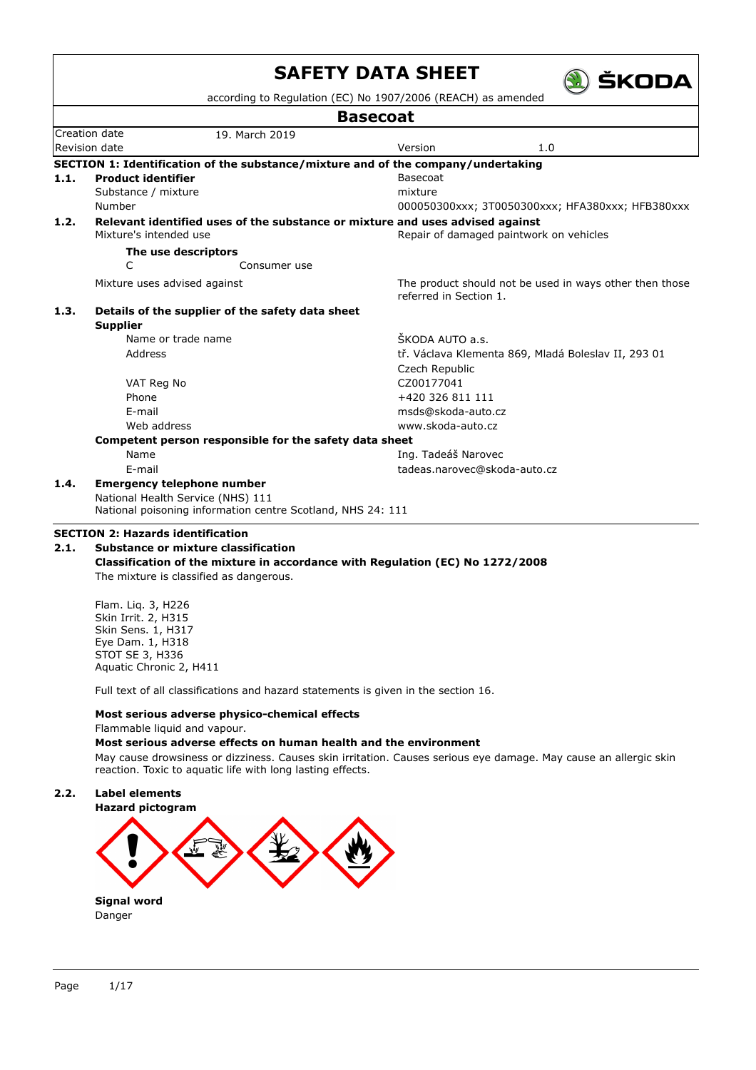|                                 |                                                                                                  | <b>Basecoat</b>                                                                   |  |  |  |  |
|---------------------------------|--------------------------------------------------------------------------------------------------|-----------------------------------------------------------------------------------|--|--|--|--|
|                                 | Creation date<br>19. March 2019                                                                  |                                                                                   |  |  |  |  |
| Revision date<br>Version<br>1.0 |                                                                                                  |                                                                                   |  |  |  |  |
|                                 |                                                                                                  | SECTION 1: Identification of the substance/mixture and of the company/undertaking |  |  |  |  |
| 1.1.                            | <b>Product identifier</b>                                                                        | Basecoat                                                                          |  |  |  |  |
|                                 | Substance / mixture                                                                              | mixture                                                                           |  |  |  |  |
|                                 | Number                                                                                           | 000050300xxx; 3T0050300xxx; HFA380xxx; HFB380xxx                                  |  |  |  |  |
| 1.2.                            |                                                                                                  | Relevant identified uses of the substance or mixture and uses advised against     |  |  |  |  |
|                                 | Mixture's intended use                                                                           | Repair of damaged paintwork on vehicles                                           |  |  |  |  |
|                                 | The use descriptors                                                                              |                                                                                   |  |  |  |  |
|                                 | C<br>Consumer use                                                                                |                                                                                   |  |  |  |  |
|                                 | Mixture uses advised against                                                                     | The product should not be used in ways other then those<br>referred in Section 1. |  |  |  |  |
| 1.3.                            | Details of the supplier of the safety data sheet                                                 |                                                                                   |  |  |  |  |
|                                 | <b>Supplier</b>                                                                                  |                                                                                   |  |  |  |  |
|                                 | Name or trade name                                                                               | ŠKODA AUTO a.s.                                                                   |  |  |  |  |
|                                 | Address                                                                                          | tř. Václava Klementa 869, Mladá Boleslav II, 293 01                               |  |  |  |  |
|                                 |                                                                                                  | Czech Republic                                                                    |  |  |  |  |
|                                 | VAT Reg No                                                                                       | CZ00177041                                                                        |  |  |  |  |
|                                 | Phone                                                                                            | +420 326 811 111                                                                  |  |  |  |  |
|                                 | F-mail                                                                                           | msds@skoda-auto.cz                                                                |  |  |  |  |
|                                 | Web address                                                                                      | www.skoda-auto.cz                                                                 |  |  |  |  |
|                                 | Competent person responsible for the safety data sheet                                           |                                                                                   |  |  |  |  |
|                                 | Name                                                                                             | Ing. Tadeáš Narovec                                                               |  |  |  |  |
|                                 | E-mail                                                                                           | tadeas.narovec@skoda-auto.cz                                                      |  |  |  |  |
| 1.4.                            | <b>Emergency telephone number</b>                                                                |                                                                                   |  |  |  |  |
|                                 | National Health Service (NHS) 111<br>National poisoning information centre Scotland, NHS 24: 111 |                                                                                   |  |  |  |  |
|                                 | <b>SECTION 2: Hazards identification</b>                                                         |                                                                                   |  |  |  |  |
| 2.1.                            | Substance or mixture classification                                                              |                                                                                   |  |  |  |  |

Flam. Liq. 3, H226 Skin Irrit. 2, H315 Skin Sens. 1, H317 Eye Dam. 1, H318 STOT SE 3, H336 Aquatic Chronic 2, H411

Full text of all classifications and hazard statements is given in the section 16.

## **Most serious adverse physico-chemical effects**

Flammable liquid and vapour.

## **Most serious adverse effects on human health and the environment**

May cause drowsiness or dizziness. Causes skin irritation. Causes serious eye damage. May cause an allergic skin reaction. Toxic to aquatic life with long lasting effects.

## **2.2. Label elements**

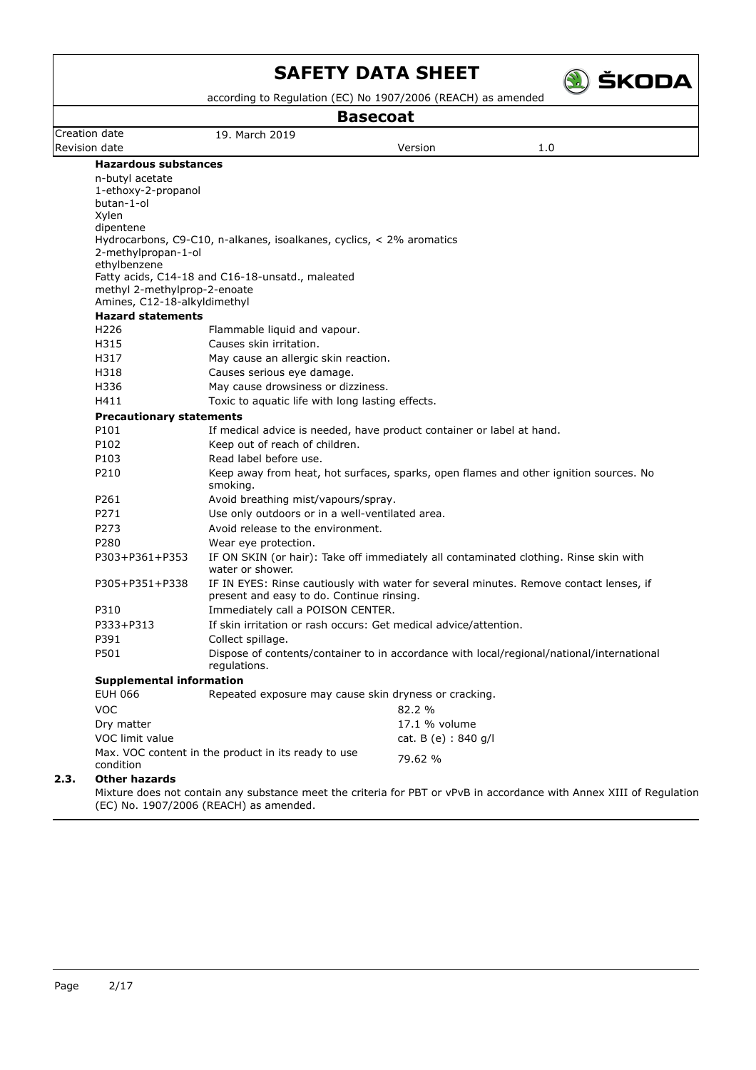

according to Regulation (EC) No  $1907/2006$  (REACH) as am

| <b>Basecoat</b>                                              |                                                                           |                      |                                                                                                                      |  |  |  |
|--------------------------------------------------------------|---------------------------------------------------------------------------|----------------------|----------------------------------------------------------------------------------------------------------------------|--|--|--|
| Creation date                                                | 19. March 2019                                                            |                      |                                                                                                                      |  |  |  |
| Revision date                                                |                                                                           | Version              | 1.0                                                                                                                  |  |  |  |
| <b>Hazardous substances</b>                                  |                                                                           |                      |                                                                                                                      |  |  |  |
| n-butyl acetate                                              |                                                                           |                      |                                                                                                                      |  |  |  |
| 1-ethoxy-2-propanol                                          |                                                                           |                      |                                                                                                                      |  |  |  |
| butan-1-ol<br>Xylen                                          |                                                                           |                      |                                                                                                                      |  |  |  |
| dipentene                                                    |                                                                           |                      |                                                                                                                      |  |  |  |
|                                                              | Hydrocarbons, C9-C10, n-alkanes, isoalkanes, cyclics, $\lt 2\%$ aromatics |                      |                                                                                                                      |  |  |  |
| 2-methylpropan-1-ol                                          |                                                                           |                      |                                                                                                                      |  |  |  |
| ethylbenzene                                                 |                                                                           |                      |                                                                                                                      |  |  |  |
|                                                              | Fatty acids, C14-18 and C16-18-unsatd., maleated                          |                      |                                                                                                                      |  |  |  |
| methyl 2-methylprop-2-enoate<br>Amines, C12-18-alkyldimethyl |                                                                           |                      |                                                                                                                      |  |  |  |
| <b>Hazard statements</b>                                     |                                                                           |                      |                                                                                                                      |  |  |  |
| H <sub>226</sub>                                             | Flammable liquid and vapour.                                              |                      |                                                                                                                      |  |  |  |
| H315                                                         | Causes skin irritation.                                                   |                      |                                                                                                                      |  |  |  |
| H317                                                         | May cause an allergic skin reaction.                                      |                      |                                                                                                                      |  |  |  |
| H318                                                         | Causes serious eye damage.                                                |                      |                                                                                                                      |  |  |  |
| H336                                                         | May cause drowsiness or dizziness.                                        |                      |                                                                                                                      |  |  |  |
| H411                                                         | Toxic to aquatic life with long lasting effects.                          |                      |                                                                                                                      |  |  |  |
| <b>Precautionary statements</b>                              |                                                                           |                      |                                                                                                                      |  |  |  |
| P101                                                         | If medical advice is needed, have product container or label at hand.     |                      |                                                                                                                      |  |  |  |
| P102                                                         | Keep out of reach of children.                                            |                      |                                                                                                                      |  |  |  |
| P103                                                         | Read label before use.                                                    |                      |                                                                                                                      |  |  |  |
| P210                                                         |                                                                           |                      | Keep away from heat, hot surfaces, sparks, open flames and other ignition sources. No                                |  |  |  |
|                                                              | smoking.                                                                  |                      |                                                                                                                      |  |  |  |
| P261                                                         | Avoid breathing mist/vapours/spray.                                       |                      |                                                                                                                      |  |  |  |
| P271                                                         | Use only outdoors or in a well-ventilated area.                           |                      |                                                                                                                      |  |  |  |
| P273                                                         | Avoid release to the environment.                                         |                      |                                                                                                                      |  |  |  |
| P280                                                         | Wear eye protection.                                                      |                      |                                                                                                                      |  |  |  |
| P303+P361+P353                                               | water or shower.                                                          |                      | IF ON SKIN (or hair): Take off immediately all contaminated clothing. Rinse skin with                                |  |  |  |
| P305+P351+P338                                               | present and easy to do. Continue rinsing.                                 |                      | IF IN EYES: Rinse cautiously with water for several minutes. Remove contact lenses, if                               |  |  |  |
| P310                                                         | Immediately call a POISON CENTER.                                         |                      |                                                                                                                      |  |  |  |
| P333+P313                                                    | If skin irritation or rash occurs: Get medical advice/attention.          |                      |                                                                                                                      |  |  |  |
| P391                                                         | Collect spillage.                                                         |                      |                                                                                                                      |  |  |  |
| P501                                                         | regulations.                                                              |                      | Dispose of contents/container to in accordance with local/regional/national/international                            |  |  |  |
| <b>Supplemental information</b>                              |                                                                           |                      |                                                                                                                      |  |  |  |
| <b>EUH 066</b>                                               | Repeated exposure may cause skin dryness or cracking.                     |                      |                                                                                                                      |  |  |  |
| <b>VOC</b>                                                   |                                                                           | 82.2 %               |                                                                                                                      |  |  |  |
| Dry matter                                                   |                                                                           | 17.1 % volume        |                                                                                                                      |  |  |  |
| VOC limit value                                              |                                                                           | cat. B (e) : 840 g/l |                                                                                                                      |  |  |  |
| condition                                                    | Max. VOC content in the product in its ready to use                       | 79.62 %              |                                                                                                                      |  |  |  |
| <b>Other hazards</b><br>2.3.                                 |                                                                           |                      |                                                                                                                      |  |  |  |
|                                                              |                                                                           |                      | Mixture does not contain any substance meet the criteria for PBT or vPvB in accordance with Annex XIII of Regulation |  |  |  |

(EC) No. 1907/2006 (REACH) as amended.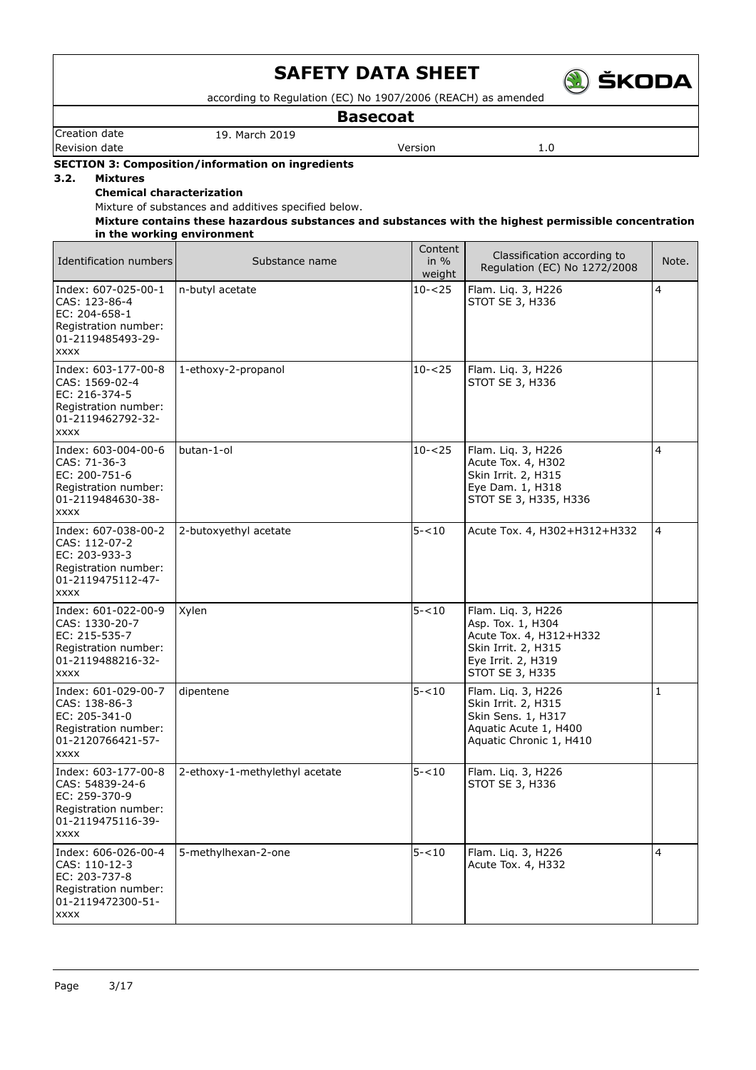

according to Regulation (EC) No 1907/2006 (REACH) as amended

**Basecoat**

Creation date 19. March 2019 **Revision date Version 1.0** 

### **SECTION 3: Composition/information on ingredients**

**3.2. Mixtures**

## **Chemical characterization**

Mixture of substances and additives specified below.

**Mixture contains these hazardous substances and substances with the highest permissible concentration in the working environment**

| Identification numbers                                                                                              | Substance name                 | Content<br>in $%$<br>weight | Classification according to<br>Regulation (EC) No 1272/2008                                                                        | Note.        |
|---------------------------------------------------------------------------------------------------------------------|--------------------------------|-----------------------------|------------------------------------------------------------------------------------------------------------------------------------|--------------|
| Index: 607-025-00-1<br>CAS: 123-86-4<br>EC: 204-658-1<br>Registration number:<br>01-2119485493-29-<br><b>XXXX</b>   | n-butyl acetate                | $10 - 25$                   | Flam. Liq. 3, H226<br>STOT SE 3, H336                                                                                              | 4            |
| Index: 603-177-00-8<br>CAS: 1569-02-4<br>EC: 216-374-5<br>Registration number:<br>01-2119462792-32-<br><b>XXXX</b>  | 1-ethoxy-2-propanol            | $10 - 25$                   | Flam. Liq. 3, H226<br>STOT SE 3, H336                                                                                              |              |
| Index: 603-004-00-6<br>CAS: 71-36-3<br>EC: 200-751-6<br>Registration number:<br>01-2119484630-38-<br><b>XXXX</b>    | butan-1-ol                     | $10 - 25$                   | Flam. Liq. 3, H226<br>Acute Tox. 4, H302<br>Skin Irrit. 2, H315<br>Eye Dam. 1, H318<br>STOT SE 3, H335, H336                       | 4            |
| Index: 607-038-00-2<br>CAS: 112-07-2<br>EC: 203-933-3<br>Registration number:<br>01-2119475112-47-<br><b>XXXX</b>   | 2-butoxyethyl acetate          | $5 - 10$                    | Acute Tox. 4, H302+H312+H332                                                                                                       | 4            |
| Index: 601-022-00-9<br>CAS: 1330-20-7<br>EC: 215-535-7<br>Registration number:<br>01-2119488216-32-<br><b>XXXX</b>  | Xylen                          | $5 - 10$                    | Flam. Liq. 3, H226<br>Asp. Tox. 1, H304<br>Acute Tox. 4, H312+H332<br>Skin Irrit. 2, H315<br>Eye Irrit. 2, H319<br>STOT SE 3, H335 |              |
| Index: 601-029-00-7<br>CAS: 138-86-3<br>EC: 205-341-0<br>Registration number:<br>01-2120766421-57-<br><b>XXXX</b>   | dipentene                      | $5 - 10$                    | Flam. Liq. 3, H226<br>Skin Irrit. 2, H315<br>Skin Sens. 1, H317<br>Aquatic Acute 1, H400<br>Aquatic Chronic 1, H410                | $\mathbf{1}$ |
| Index: 603-177-00-8<br>CAS: 54839-24-6<br>EC: 259-370-9<br>Registration number:<br>01-2119475116-39-<br><b>XXXX</b> | 2-ethoxy-1-methylethyl acetate | $5 - 10$                    | Flam. Liq. 3, H226<br>STOT SE 3, H336                                                                                              |              |
| Index: 606-026-00-4<br>CAS: 110-12-3<br>EC: 203-737-8<br>Registration number:<br>01-2119472300-51-<br><b>XXXX</b>   | 5-methylhexan-2-one            | $5 - 10$                    | Flam. Liq. 3, H226<br>Acute Tox. 4, H332                                                                                           | 4            |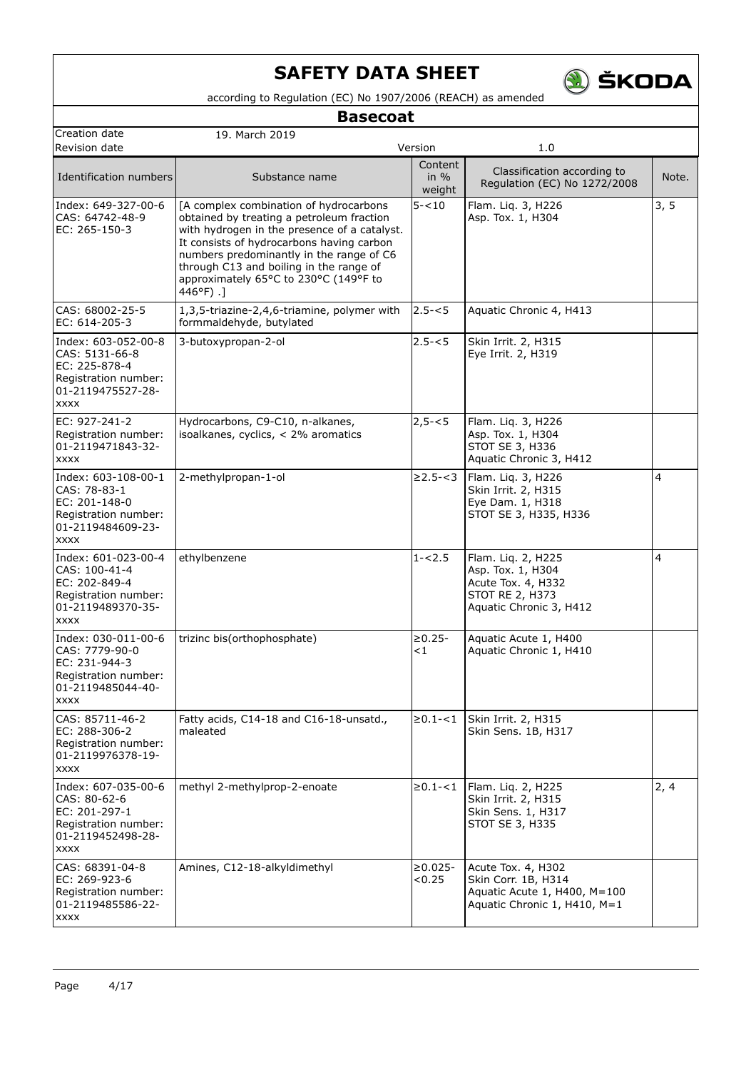

according to Regulation (EC) No 1907/2006 (REACH) as amended

## **Basecoat**

| Creation date                                                                                                      | 19. March 2019                                                                                                                                                                                                                                                                                                               |                             |                                                                                                             |       |
|--------------------------------------------------------------------------------------------------------------------|------------------------------------------------------------------------------------------------------------------------------------------------------------------------------------------------------------------------------------------------------------------------------------------------------------------------------|-----------------------------|-------------------------------------------------------------------------------------------------------------|-------|
| Revision date                                                                                                      |                                                                                                                                                                                                                                                                                                                              | Version                     | 1.0                                                                                                         |       |
| Identification numbers                                                                                             | Substance name                                                                                                                                                                                                                                                                                                               | Content<br>in $%$<br>weight | Classification according to<br>Regulation (EC) No 1272/2008                                                 | Note. |
| Index: 649-327-00-6<br>CAS: 64742-48-9<br>EC: 265-150-3                                                            | [A complex combination of hydrocarbons<br>obtained by treating a petroleum fraction<br>with hydrogen in the presence of a catalyst.<br>It consists of hydrocarbons having carbon<br>numbers predominantly in the range of C6<br>through C13 and boiling in the range of<br>approximately 65°C to 230°C (149°F to<br>446°F).] | $5 - 10$                    | Flam. Liq. 3, H226<br>Asp. Tox. 1, H304                                                                     | 3, 5  |
| CAS: 68002-25-5<br>EC: 614-205-3                                                                                   | 1,3,5-triazine-2,4,6-triamine, polymer with<br>formmaldehyde, butylated                                                                                                                                                                                                                                                      | $2.5 - 5$                   | Aquatic Chronic 4, H413                                                                                     |       |
| Index: 603-052-00-8<br>CAS: 5131-66-8<br>EC: 225-878-4<br>Registration number:<br>01-2119475527-28-<br><b>XXXX</b> | 3-butoxypropan-2-ol                                                                                                                                                                                                                                                                                                          | $2.5 - 5$                   | Skin Irrit. 2, H315<br>Eye Irrit. 2, H319                                                                   |       |
| EC: 927-241-2<br>Registration number:<br>01-2119471843-32-<br><b>XXXX</b>                                          | Hydrocarbons, C9-C10, n-alkanes,<br>isoalkanes, cyclics, < 2% aromatics                                                                                                                                                                                                                                                      | $2,5 - 5$                   | Flam. Liq. 3, H226<br>Asp. Tox. 1, H304<br>STOT SE 3, H336<br>Aquatic Chronic 3, H412                       |       |
| Index: 603-108-00-1<br>CAS: 78-83-1<br>EC: 201-148-0<br>Registration number:<br>01-2119484609-23-<br><b>XXXX</b>   | 2-methylpropan-1-ol                                                                                                                                                                                                                                                                                                          | $\geq$ 2.5- $<$ 3           | Flam. Liq. 3, H226<br>Skin Irrit. 2, H315<br>Eye Dam. 1, H318<br>STOT SE 3, H335, H336                      | 4     |
| Index: 601-023-00-4<br>CAS: 100-41-4<br>EC: 202-849-4<br>Registration number:<br>01-2119489370-35-<br><b>XXXX</b>  | ethylbenzene                                                                                                                                                                                                                                                                                                                 | $1 - 2.5$                   | Flam. Liq. 2, H225<br>Asp. Tox. 1, H304<br>Acute Tox. 4, H332<br>STOT RE 2, H373<br>Aquatic Chronic 3, H412 | 4     |
| Index: 030-011-00-6<br>CAS: 7779-90-0<br>EC: 231-944-3<br>Registration number:<br>01-2119485044-40-<br><b>XXXX</b> | trizinc bis(orthophosphate)                                                                                                                                                                                                                                                                                                  | $\geq 0.25 -$<br>$\leq 1$   | Aquatic Acute 1, H400<br>Aquatic Chronic 1, H410                                                            |       |
| CAS: 85711-46-2<br>EC: 288-306-2<br>Registration number:<br>01-2119976378-19-<br><b>XXXX</b>                       | Fatty acids, C14-18 and C16-18-unsatd.,<br>maleated                                                                                                                                                                                                                                                                          | $\geq 0.1 - 1$              | Skin Irrit. 2, H315<br>Skin Sens. 1B, H317                                                                  |       |
| Index: 607-035-00-6<br>CAS: 80-62-6<br>EC: 201-297-1<br>Registration number:<br>01-2119452498-28-<br><b>XXXX</b>   | methyl 2-methylprop-2-enoate                                                                                                                                                                                                                                                                                                 | $\ge 0.1 - 1$               | Flam. Liq. 2, H225<br>Skin Irrit. 2, H315<br>Skin Sens. 1, H317<br>STOT SE 3, H335                          | 2, 4  |
| CAS: 68391-04-8<br>EC: 269-923-6<br>Registration number:<br>01-2119485586-22-<br><b>XXXX</b>                       | Amines, C12-18-alkyldimethyl                                                                                                                                                                                                                                                                                                 | $\geq 0.025 -$<br>< 0.25    | Acute Tox. 4, H302<br>Skin Corr. 1B, H314<br>Aquatic Acute 1, H400, M=100<br>Aquatic Chronic 1, H410, M=1   |       |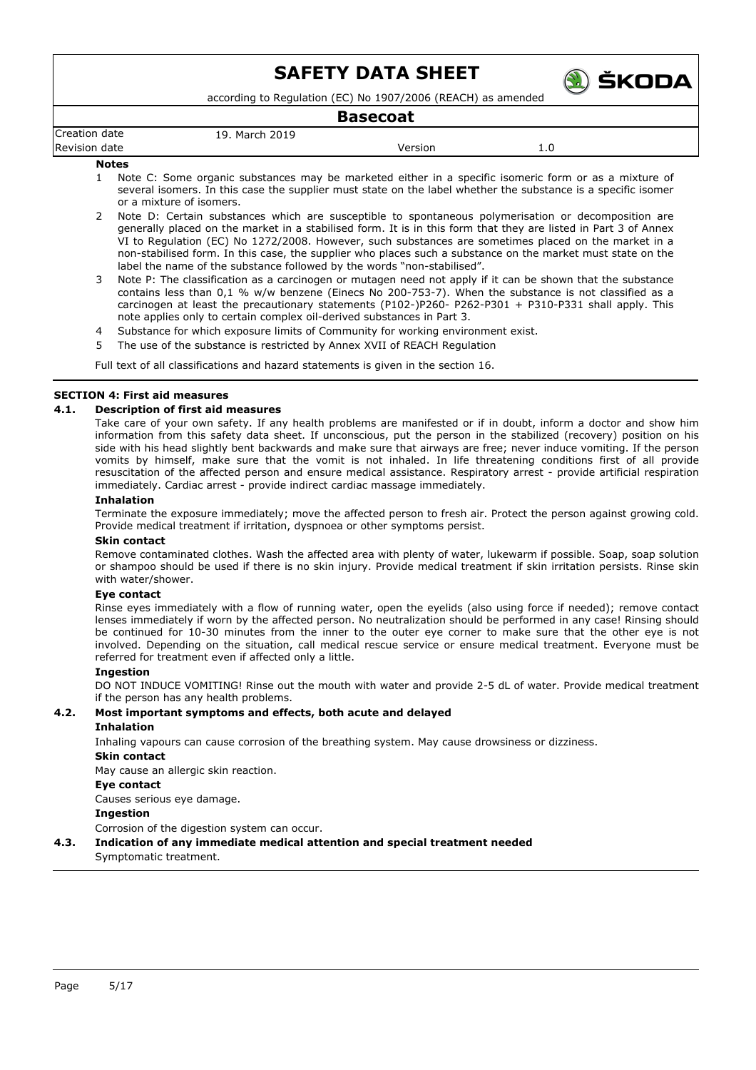

according to Regulation (EC) No 1907/2006 (REACH) as amended

## **Basecoat**

|                      |                     | Dascloal |     |  |
|----------------------|---------------------|----------|-----|--|
| Creation date        | March 2019 .<br>19. |          |     |  |
| <b>Revision date</b> |                     | Version  | 1.U |  |
| <b>Natas</b>         |                     |          |     |  |

### **Notes**

- 1 Note C: Some organic substances may be marketed either in a specific isomeric form or as a mixture of several isomers. In this case the supplier must state on the label whether the substance is a specific isomer or a mixture of isomers.
- 2 Note D: Certain substances which are susceptible to spontaneous polymerisation or decomposition are generally placed on the market in a stabilised form. It is in this form that they are listed in Part 3 of Annex VI to Regulation (EC) No 1272/2008. However, such substances are sometimes placed on the market in a non-stabilised form. In this case, the supplier who places such a substance on the market must state on the label the name of the substance followed by the words "non-stabilised".
- 3 Note P: The classification as a carcinogen or mutagen need not apply if it can be shown that the substance contains less than 0,1 % w/w benzene (Einecs No 200-753-7). When the substance is not classified as a carcinogen at least the precautionary statements (P102-)P260- P262-P301 + P310-P331 shall apply. This note applies only to certain complex oil-derived substances in Part 3.
- 4 Substance for which exposure limits of Community for working environment exist.
- 5 The use of the substance is restricted by Annex XVII of REACH Regulation

Full text of all classifications and hazard statements is given in the section 16.

## **SECTION 4: First aid measures**

## **4.1. Description of first aid measures**

Take care of your own safety. If any health problems are manifested or if in doubt, inform a doctor and show him information from this safety data sheet. If unconscious, put the person in the stabilized (recovery) position on his side with his head slightly bent backwards and make sure that airways are free; never induce vomiting. If the person vomits by himself, make sure that the vomit is not inhaled. In life threatening conditions first of all provide resuscitation of the affected person and ensure medical assistance. Respiratory arrest - provide artificial respiration immediately. Cardiac arrest - provide indirect cardiac massage immediately.

## **Inhalation**

Terminate the exposure immediately; move the affected person to fresh air. Protect the person against growing cold. Provide medical treatment if irritation, dyspnoea or other symptoms persist.

### **Skin contact**

Remove contaminated clothes. Wash the affected area with plenty of water, lukewarm if possible. Soap, soap solution or shampoo should be used if there is no skin injury. Provide medical treatment if skin irritation persists. Rinse skin with water/shower.

### **Eye contact**

Rinse eyes immediately with a flow of running water, open the eyelids (also using force if needed); remove contact lenses immediately if worn by the affected person. No neutralization should be performed in any case! Rinsing should be continued for 10-30 minutes from the inner to the outer eye corner to make sure that the other eye is not involved. Depending on the situation, call medical rescue service or ensure medical treatment. Everyone must be referred for treatment even if affected only a little.

## **Ingestion**

DO NOT INDUCE VOMITING! Rinse out the mouth with water and provide 2-5 dL of water. Provide medical treatment if the person has any health problems.

## **4.2. Most important symptoms and effects, both acute and delayed**

## **Inhalation**

Inhaling vapours can cause corrosion of the breathing system. May cause drowsiness or dizziness.

### **Skin contact**

May cause an allergic skin reaction.

### **Eye contact**

Causes serious eye damage.

## **Ingestion**

Corrosion of the digestion system can occur.

## **4.3. Indication of any immediate medical attention and special treatment needed**

Symptomatic treatment.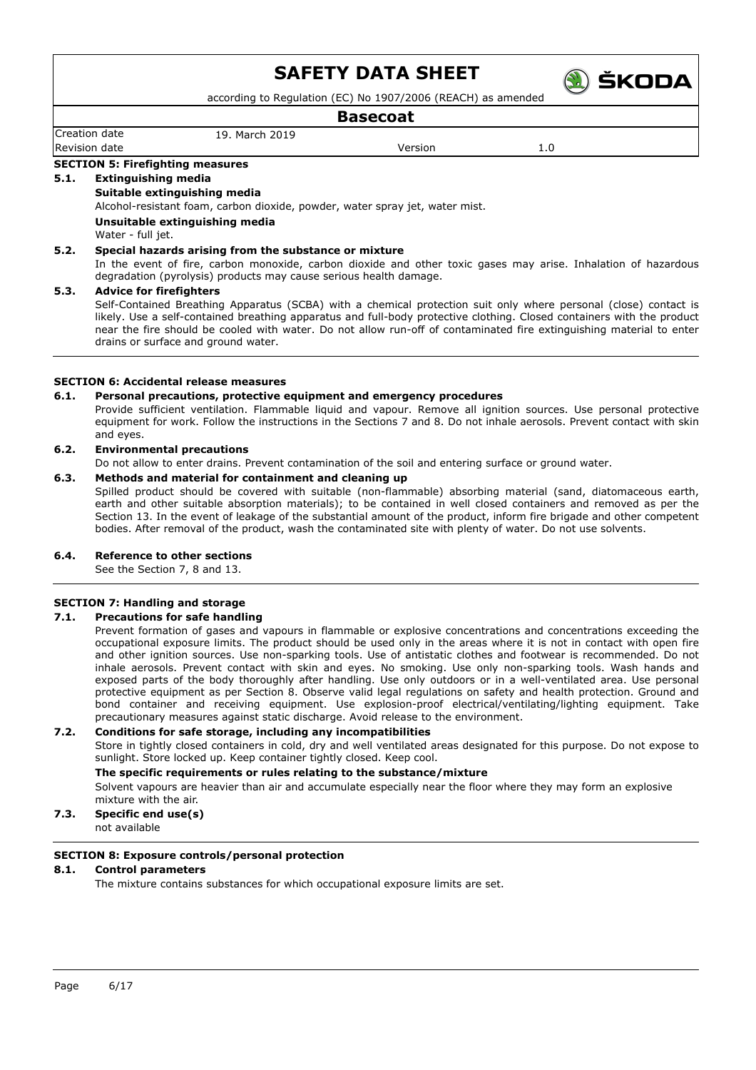

according to Regulation (EC) No 1907/2006 (REACH) as amended

## **Basecoat**

## Creation date 19. March 2019 Revision date and the version of the Version of the Version of the Version of the Version of the Version of the Version of the Version of the Version of the Version of the Version of the Version of the Version of the Versi

#### **SECTION 5: Firefighting measures**

## **5.1. Extinguishing media**

### **Suitable extinguishing media**

Alcohol-resistant foam, carbon dioxide, powder, water spray jet, water mist.

**Unsuitable extinguishing media**

Water - full jet.

## **5.2. Special hazards arising from the substance or mixture**

In the event of fire, carbon monoxide, carbon dioxide and other toxic gases may arise. Inhalation of hazardous degradation (pyrolysis) products may cause serious health damage.

### **5.3. Advice for firefighters**

Self-Contained Breathing Apparatus (SCBA) with a chemical protection suit only where personal (close) contact is likely. Use a self-contained breathing apparatus and full-body protective clothing. Closed containers with the product near the fire should be cooled with water. Do not allow run-off of contaminated fire extinguishing material to enter drains or surface and ground water.

## **SECTION 6: Accidental release measures**

### **6.1. Personal precautions, protective equipment and emergency procedures**

Provide sufficient ventilation. Flammable liquid and vapour. Remove all ignition sources. Use personal protective equipment for work. Follow the instructions in the Sections 7 and 8. Do not inhale aerosols. Prevent contact with skin and eyes.

## **6.2. Environmental precautions**

Do not allow to enter drains. Prevent contamination of the soil and entering surface or ground water.

## **6.3. Methods and material for containment and cleaning up**

Spilled product should be covered with suitable (non-flammable) absorbing material (sand, diatomaceous earth, earth and other suitable absorption materials); to be contained in well closed containers and removed as per the Section 13. In the event of leakage of the substantial amount of the product, inform fire brigade and other competent bodies. After removal of the product, wash the contaminated site with plenty of water. Do not use solvents.

## **6.4. Reference to other sections**

See the Section 7, 8 and 13.

## **SECTION 7: Handling and storage**

## **7.1. Precautions for safe handling**

Prevent formation of gases and vapours in flammable or explosive concentrations and concentrations exceeding the occupational exposure limits. The product should be used only in the areas where it is not in contact with open fire and other ignition sources. Use non-sparking tools. Use of antistatic clothes and footwear is recommended. Do not inhale aerosols. Prevent contact with skin and eyes. No smoking. Use only non-sparking tools. Wash hands and exposed parts of the body thoroughly after handling. Use only outdoors or in a well-ventilated area. Use personal protective equipment as per Section 8. Observe valid legal regulations on safety and health protection. Ground and bond container and receiving equipment. Use explosion-proof electrical/ventilating/lighting equipment. Take precautionary measures against static discharge. Avoid release to the environment.

### **7.2. Conditions for safe storage, including any incompatibilities**

Store in tightly closed containers in cold, dry and well ventilated areas designated for this purpose. Do not expose to sunlight. Store locked up. Keep container tightly closed. Keep cool.

### **The specific requirements or rules relating to the substance/mixture**

Solvent vapours are heavier than air and accumulate especially near the floor where they may form an explosive mixture with the air.

## **7.3. Specific end use(s)**

not available

## **SECTION 8: Exposure controls/personal protection**

### **8.1. Control parameters**

The mixture contains substances for which occupational exposure limits are set.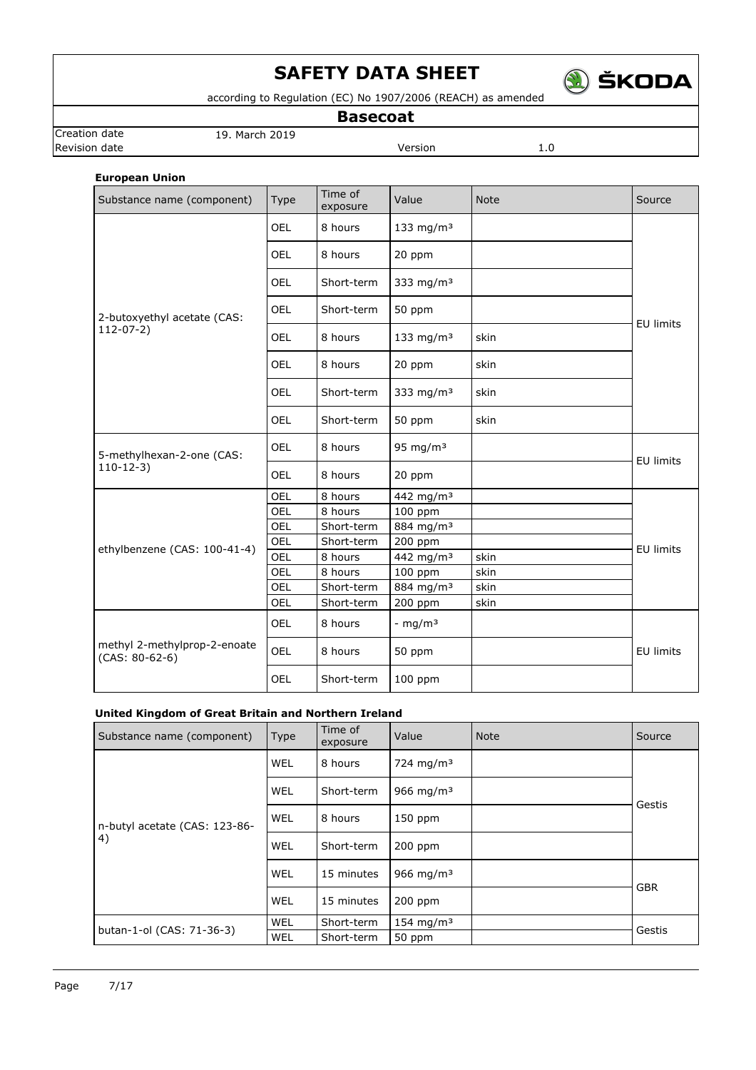

according to Regulation (EC) No 1907/2006 (REACH) as amended

**Basecoat**

**Revision date Version** 1.0

Creation date 19. March 2019

## **European Union**

| Substance name (component)                       | <b>Type</b> | Time of<br>exposure | Value                 | <b>Note</b> | Source           |
|--------------------------------------------------|-------------|---------------------|-----------------------|-------------|------------------|
|                                                  | <b>OEL</b>  | 8 hours             | 133 mg/m $3$          |             |                  |
|                                                  | <b>OEL</b>  | 8 hours             | 20 ppm                |             |                  |
|                                                  | OEL         | Short-term          | 333 mg/m $3$          |             |                  |
| 2-butoxyethyl acetate (CAS:                      | <b>OEL</b>  | Short-term          | 50 ppm                |             | <b>EU limits</b> |
| $112-07-2)$                                      | <b>OEL</b>  | 8 hours             | 133 mg/m $3$          | skin        |                  |
|                                                  | OEL         | 8 hours             | 20 ppm                | skin        |                  |
|                                                  | OEL         | Short-term          | 333 mg/m $3$          | skin        |                  |
|                                                  | OEL         | Short-term          | 50 ppm                | skin        |                  |
| 5-methylhexan-2-one (CAS:                        | OEL         | 8 hours             | 95 mg/m $3$           |             | <b>EU limits</b> |
| $110-12-3$                                       | <b>OEL</b>  | 8 hours             | 20 ppm                |             |                  |
|                                                  | OEL         | 8 hours             | 442 mg/m <sup>3</sup> |             |                  |
|                                                  | OEL         | 8 hours             | 100 ppm               |             |                  |
|                                                  | <b>OEL</b>  | Short-term          | 884 mg/m <sup>3</sup> |             |                  |
| ethylbenzene (CAS: 100-41-4)                     | OEL         | Short-term          | 200 ppm               |             | <b>EU limits</b> |
|                                                  | OEL         | 8 hours             | 442 mg/m <sup>3</sup> | skin        |                  |
|                                                  | OEL         | 8 hours             | 100 ppm               | skin        |                  |
|                                                  | <b>OEL</b>  | Short-term          | 884 mg/m <sup>3</sup> | skin        |                  |
|                                                  | OEL         | Short-term          | 200 ppm               | skin        |                  |
|                                                  | OEL         | 8 hours             | - mg/m $3$            |             |                  |
| methyl 2-methylprop-2-enoate<br>$(CAS: 80-62-6)$ | <b>OEL</b>  | 8 hours             | 50 ppm                |             | <b>EU limits</b> |
|                                                  | OEL         | Short-term          | 100 ppm               |             |                  |

## **United Kingdom of Great Britain and Northern Ireland**

| Substance name (component)    | <b>Type</b> | Time of<br>exposure | Value                 | <b>Note</b> | Source     |
|-------------------------------|-------------|---------------------|-----------------------|-------------|------------|
|                               | WEL         | 8 hours             | 724 mg/m <sup>3</sup> |             | Gestis     |
|                               | WEL         | Short-term          | 966 mg/m <sup>3</sup> |             |            |
| n-butyl acetate (CAS: 123-86- | WEL         | 8 hours             | $150$ ppm             |             |            |
| (4)                           | WEL         | Short-term          | $200$ ppm             |             |            |
|                               | WEL         | 15 minutes          | 966 mg/m <sup>3</sup> |             | <b>GBR</b> |
|                               | WEL         | 15 minutes          | 200 ppm               |             |            |
| butan-1-ol (CAS: 71-36-3)     | WEL         | Short-term          | 154 mg/m <sup>3</sup> |             | Gestis     |
|                               | WEL         | Short-term          | 50 ppm                |             |            |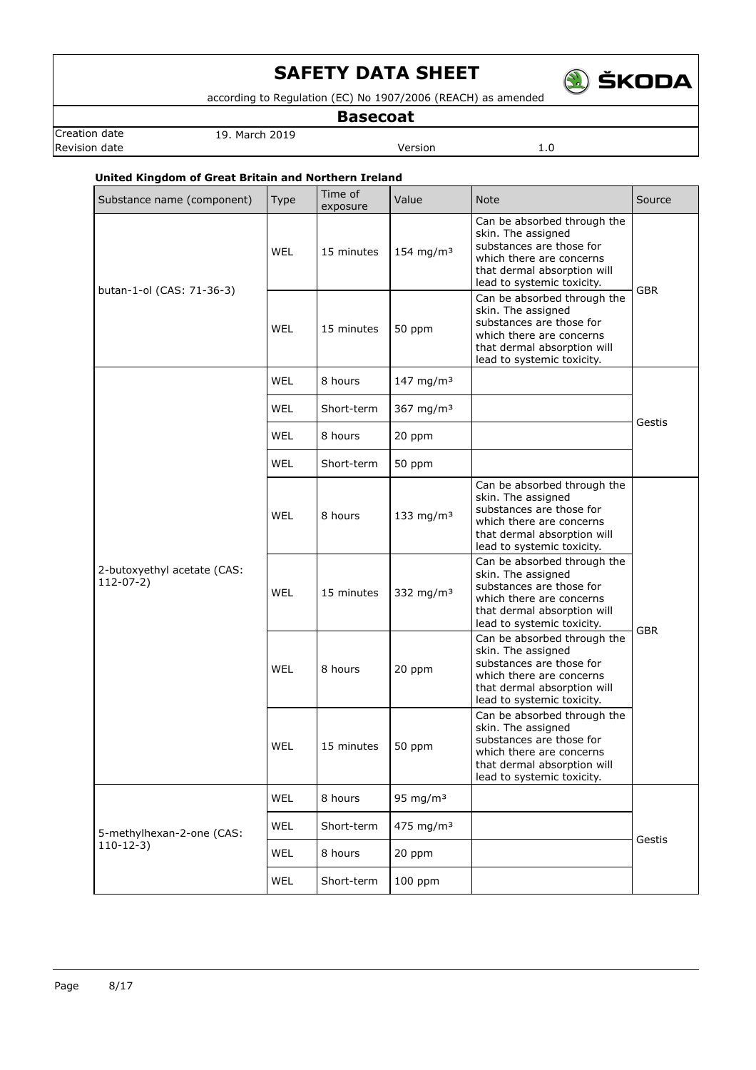

according to Regulation (EC) No 1907/2006 (REACH) as amended

**Basecoat**

Creation date 19. March 2019 **Revision date Version** 1.0

## **United Kingdom of Great Britain and Northern Ireland**

| Substance name (component)                 | <b>Type</b> | Time of<br>exposure | Value                 | <b>Note</b>                                                                                                                                                            | Source     |
|--------------------------------------------|-------------|---------------------|-----------------------|------------------------------------------------------------------------------------------------------------------------------------------------------------------------|------------|
| butan-1-ol (CAS: 71-36-3)                  | WEL         | 15 minutes          | 154 mg/m $3$          | Can be absorbed through the<br>skin. The assigned<br>substances are those for<br>which there are concerns<br>that dermal absorption will<br>lead to systemic toxicity. | <b>GBR</b> |
|                                            | WEL         | 15 minutes          | 50 ppm                | Can be absorbed through the<br>skin. The assigned<br>substances are those for<br>which there are concerns<br>that dermal absorption will<br>lead to systemic toxicity. |            |
|                                            | WEL         | 8 hours             | 147 mg/m <sup>3</sup> |                                                                                                                                                                        | Gestis     |
|                                            | <b>WEL</b>  | Short-term          | 367 mg/m <sup>3</sup> |                                                                                                                                                                        |            |
|                                            | WEL         | 8 hours             | 20 ppm                |                                                                                                                                                                        |            |
|                                            | <b>WEL</b>  | Short-term          | 50 ppm                |                                                                                                                                                                        |            |
|                                            | WEL         | 8 hours             | 133 mg/m $3$          | Can be absorbed through the<br>skin. The assigned<br>substances are those for<br>which there are concerns<br>that dermal absorption will<br>lead to systemic toxicity. |            |
| 2-butoxyethyl acetate (CAS:<br>$112-07-2)$ | WEL         | 15 minutes          | 332 mg/m $3$          | Can be absorbed through the<br>skin. The assigned<br>substances are those for<br>which there are concerns<br>that dermal absorption will<br>lead to systemic toxicity. | <b>GBR</b> |
|                                            | WEL         | 8 hours             | 20 ppm                | Can be absorbed through the<br>skin. The assigned<br>substances are those for<br>which there are concerns<br>that dermal absorption will<br>lead to systemic toxicity. |            |
|                                            | WEL         | 15 minutes          | 50 ppm                | Can be absorbed through the<br>skin. The assigned<br>substances are those for<br>which there are concerns<br>that dermal absorption will<br>lead to systemic toxicity. |            |
|                                            | <b>WEL</b>  | 8 hours             | 95 mg/m $3$           |                                                                                                                                                                        |            |
| 5-methylhexan-2-one (CAS:                  | <b>WEL</b>  | Short-term          | 475 mg/m $3$          |                                                                                                                                                                        | Gestis     |
| $110-12-3)$                                | <b>WEL</b>  | 8 hours             | 20 ppm                |                                                                                                                                                                        |            |
|                                            | WEL         | Short-term          | 100 ppm               |                                                                                                                                                                        |            |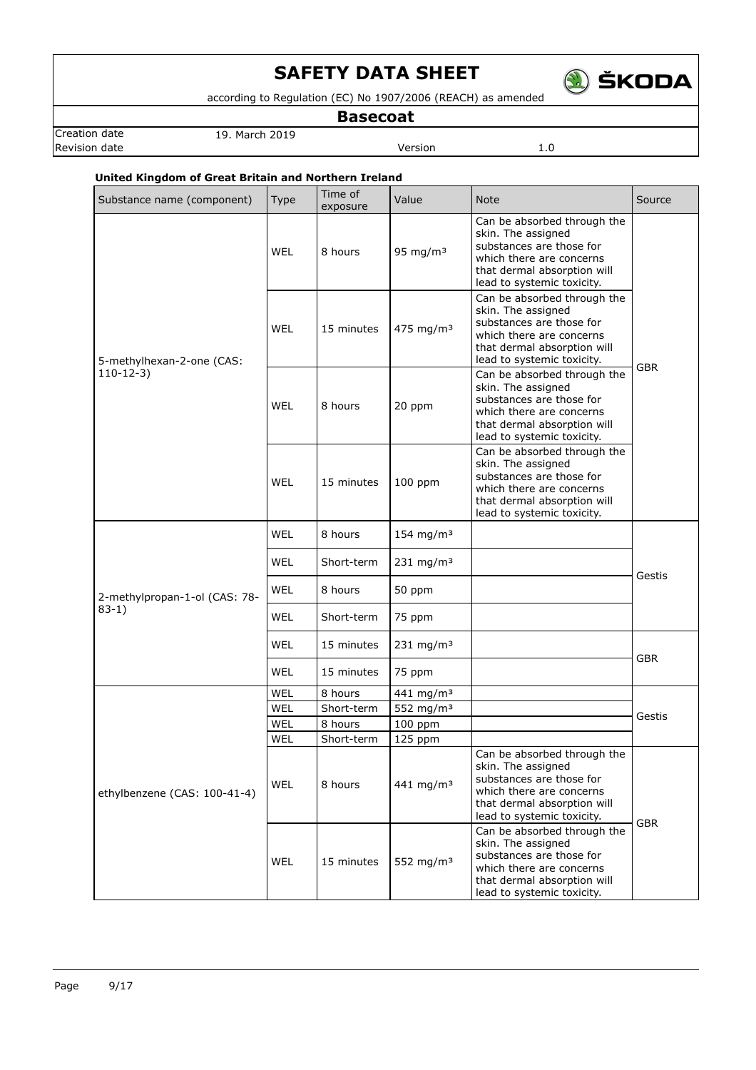

according to Regulation (EC) No 1907/2006 (REACH) as amended

**Basecoat**

Creation date 19. March 2019 **Revision date Version** 1.0

## **United Kingdom of Great Britain and Northern Ireland**

| Substance name (component)    | Type       | Time of<br>exposure | Value                   | <b>Note</b>                                                                                                                                                            | Source     |
|-------------------------------|------------|---------------------|-------------------------|------------------------------------------------------------------------------------------------------------------------------------------------------------------------|------------|
|                               | <b>WEL</b> | 8 hours             | 95 mg/m $3$             | Can be absorbed through the<br>skin. The assigned<br>substances are those for<br>which there are concerns<br>that dermal absorption will<br>lead to systemic toxicity. |            |
| 5-methylhexan-2-one (CAS:     | <b>WEL</b> | 15 minutes          | 475 mg/m <sup>3</sup>   | Can be absorbed through the<br>skin. The assigned<br>substances are those for<br>which there are concerns<br>that dermal absorption will<br>lead to systemic toxicity. | <b>GBR</b> |
| $110-12-3)$                   | WEL        | 8 hours             | 20 ppm                  | Can be absorbed through the<br>skin. The assigned<br>substances are those for<br>which there are concerns<br>that dermal absorption will<br>lead to systemic toxicity. |            |
|                               | WEL        | 15 minutes          | $100$ ppm               | Can be absorbed through the<br>skin. The assigned<br>substances are those for<br>which there are concerns<br>that dermal absorption will<br>lead to systemic toxicity. |            |
|                               | <b>WEL</b> | 8 hours             | 154 mg/m $3$            |                                                                                                                                                                        | Gestis     |
|                               | <b>WEL</b> | Short-term          | 231 mg/m $3$            |                                                                                                                                                                        |            |
| 2-methylpropan-1-ol (CAS: 78- | <b>WEL</b> | 8 hours             | 50 ppm                  |                                                                                                                                                                        |            |
| $83-1)$                       | <b>WEL</b> | Short-term          | 75 ppm                  |                                                                                                                                                                        |            |
|                               | <b>WEL</b> | 15 minutes          | $231$ mg/m <sup>3</sup> |                                                                                                                                                                        |            |
|                               | WEL        | 15 minutes          | 75 ppm                  |                                                                                                                                                                        | <b>GBR</b> |
|                               | WEL        | 8 hours             | 441 mg/m <sup>3</sup>   |                                                                                                                                                                        |            |
|                               | WEL        | Short-term          | 552 mg/m <sup>3</sup>   |                                                                                                                                                                        |            |
|                               | WEL        | 8 hours             | 100 ppm                 |                                                                                                                                                                        | Gestis     |
|                               | WEL        | Short-term          | 125 ppm                 |                                                                                                                                                                        |            |
| ethylbenzene (CAS: 100-41-4)  | <b>WEL</b> | 8 hours             | 441 mg/m <sup>3</sup>   | Can be absorbed through the<br>skin. The assigned<br>substances are those for<br>which there are concerns<br>that dermal absorption will<br>lead to systemic toxicity. |            |
|                               | <b>WEL</b> | 15 minutes          | 552 mg/m <sup>3</sup>   | Can be absorbed through the<br>skin. The assigned<br>substances are those for<br>which there are concerns<br>that dermal absorption will<br>lead to systemic toxicity. | <b>GBR</b> |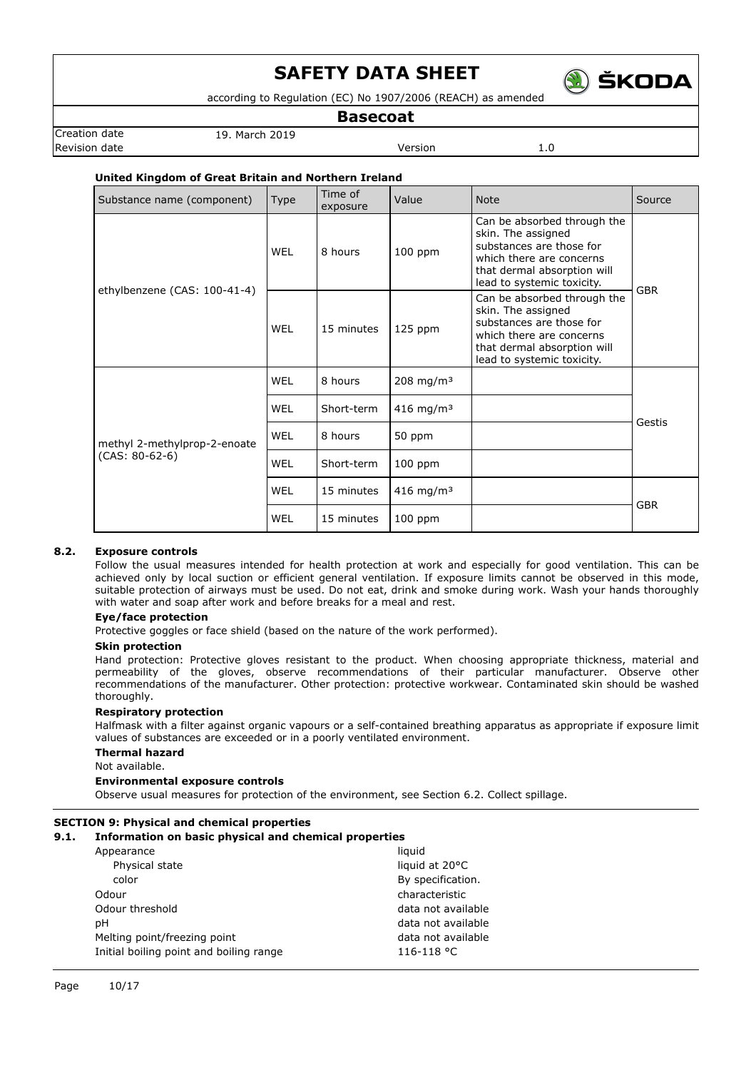

according to Regulation (EC) No 1907/2006 (REACH) as amended

**Basecoat**

Creation date 19. March 2019 Revision date **Version** 2.0

## **United Kingdom of Great Britain and Northern Ireland**

| Substance name (component)   | <b>Type</b> | Time of<br>exposure | Value                 | <b>Note</b>                                                                                                                                                            | Source     |
|------------------------------|-------------|---------------------|-----------------------|------------------------------------------------------------------------------------------------------------------------------------------------------------------------|------------|
| ethylbenzene (CAS: 100-41-4) | WEL         | 8 hours             | $100$ ppm             | Can be absorbed through the<br>skin. The assigned<br>substances are those for<br>which there are concerns<br>that dermal absorption will<br>lead to systemic toxicity. | <b>GBR</b> |
|                              | WEL         | 15 minutes          | $125$ ppm             | Can be absorbed through the<br>skin. The assigned<br>substances are those for<br>which there are concerns<br>that dermal absorption will<br>lead to systemic toxicity. |            |
|                              | WEL         | 8 hours             | $208 \text{ mg/m}^3$  |                                                                                                                                                                        | Gestis     |
|                              | WEL         | Short-term          | 416 mg/m <sup>3</sup> |                                                                                                                                                                        |            |
| methyl 2-methylprop-2-enoate | <b>WEL</b>  | 8 hours             | 50 ppm                |                                                                                                                                                                        |            |
| $(CAS: 80-62-6)$             | WEL         | Short-term          | 100 ppm               |                                                                                                                                                                        |            |
|                              | <b>WEL</b>  | 15 minutes          | 416 mg/m <sup>3</sup> |                                                                                                                                                                        |            |
|                              | WEL         | 15 minutes          | $100$ ppm             |                                                                                                                                                                        | <b>GBR</b> |

## **8.2. Exposure controls**

Follow the usual measures intended for health protection at work and especially for good ventilation. This can be achieved only by local suction or efficient general ventilation. If exposure limits cannot be observed in this mode, suitable protection of airways must be used. Do not eat, drink and smoke during work. Wash your hands thoroughly with water and soap after work and before breaks for a meal and rest.

## **Eye/face protection**

Protective goggles or face shield (based on the nature of the work performed).

## **Skin protection**

Hand protection: Protective gloves resistant to the product. When choosing appropriate thickness, material and permeability of the gloves, observe recommendations of their particular manufacturer. Observe other recommendations of the manufacturer. Other protection: protective workwear. Contaminated skin should be washed thoroughly.

## **Respiratory protection**

Halfmask with a filter against organic vapours or a self-contained breathing apparatus as appropriate if exposure limit values of substances are exceeded or in a poorly ventilated environment.

### **Thermal hazard**

Not available.

### **Environmental exposure controls**

Observe usual measures for protection of the environment, see Section 6.2. Collect spillage.

## **SECTION 9: Physical and chemical properties**

## **9.1. Information on basic physical and chemical properties**

| liquid             |
|--------------------|
| liquid at 20°C     |
| By specification.  |
| characteristic     |
| data not available |
| data not available |
| data not available |
| 116-118 °C         |
|                    |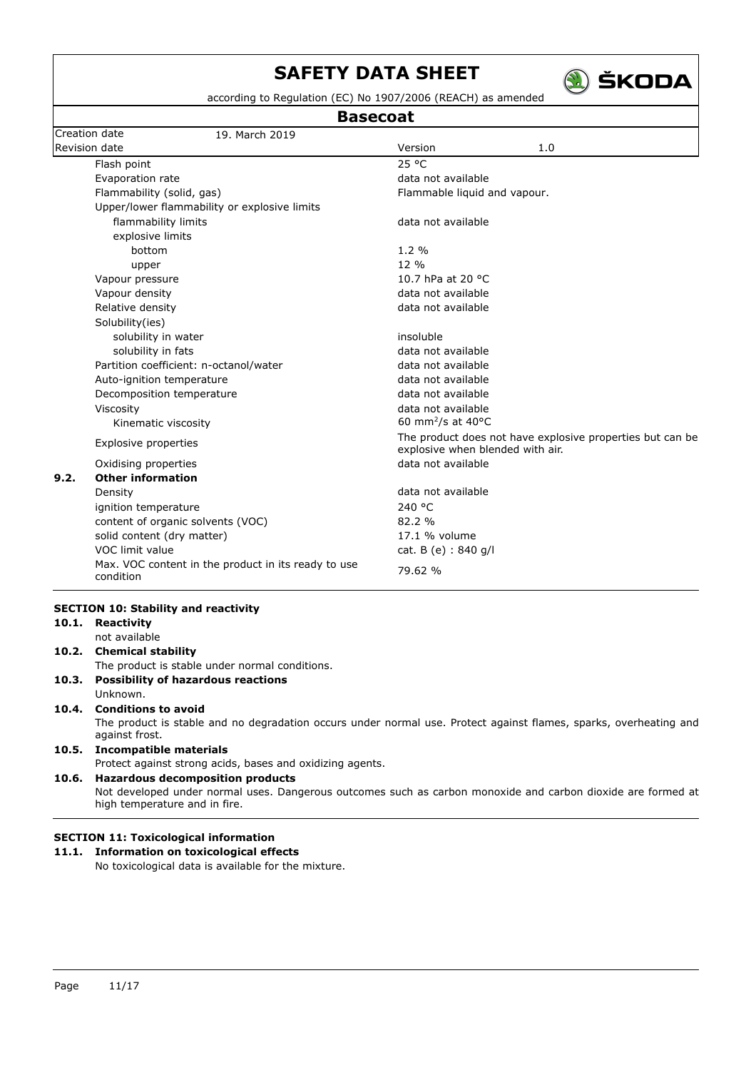

according to Regulation (EC) No 1907/2006 (REACH) as amended

**Basecoat**

|               |                                             | <b>Basecoat</b>                                           |                                         |                                                                                                                   |
|---------------|---------------------------------------------|-----------------------------------------------------------|-----------------------------------------|-------------------------------------------------------------------------------------------------------------------|
|               | Creation date                               | 19. March 2019                                            |                                         |                                                                                                                   |
| Revision date |                                             |                                                           | Version                                 | 1.0                                                                                                               |
|               | Flash point                                 |                                                           | 25 °C                                   |                                                                                                                   |
|               | Evaporation rate                            |                                                           | data not available                      |                                                                                                                   |
|               | Flammability (solid, gas)                   |                                                           | Flammable liquid and vapour.            |                                                                                                                   |
|               |                                             | Upper/lower flammability or explosive limits              |                                         |                                                                                                                   |
|               | flammability limits                         |                                                           | data not available                      |                                                                                                                   |
|               | explosive limits                            |                                                           |                                         |                                                                                                                   |
|               | bottom                                      |                                                           | $1.2\%$                                 |                                                                                                                   |
|               | upper                                       |                                                           | 12 %                                    |                                                                                                                   |
|               | Vapour pressure                             |                                                           | 10.7 hPa at 20 °C                       |                                                                                                                   |
|               | Vapour density                              |                                                           | data not available                      |                                                                                                                   |
|               | Relative density                            |                                                           | data not available                      |                                                                                                                   |
|               | Solubility(ies)                             |                                                           |                                         |                                                                                                                   |
|               | solubility in water                         |                                                           | insoluble                               |                                                                                                                   |
|               | solubility in fats                          |                                                           | data not available                      |                                                                                                                   |
|               |                                             | Partition coefficient: n-octanol/water                    | data not available                      |                                                                                                                   |
|               | Auto-ignition temperature                   |                                                           | data not available                      |                                                                                                                   |
|               | Decomposition temperature                   |                                                           | data not available                      |                                                                                                                   |
|               | Viscosity                                   |                                                           | data not available                      |                                                                                                                   |
|               | Kinematic viscosity                         |                                                           | 60 mm <sup>2</sup> /s at 40 $\degree$ C |                                                                                                                   |
|               | Explosive properties                        |                                                           | explosive when blended with air.        | The product does not have explosive properties but can be                                                         |
|               | Oxidising properties                        |                                                           | data not available                      |                                                                                                                   |
| 9.2.          | <b>Other information</b>                    |                                                           |                                         |                                                                                                                   |
|               | Density                                     |                                                           | data not available                      |                                                                                                                   |
|               | ignition temperature                        |                                                           | 240 °C                                  |                                                                                                                   |
|               |                                             | content of organic solvents (VOC)                         | 82.2 %                                  |                                                                                                                   |
|               | solid content (dry matter)                  |                                                           | 17.1 % volume                           |                                                                                                                   |
|               | VOC limit value                             |                                                           | cat. B (e) : 840 g/l                    |                                                                                                                   |
|               | condition                                   | Max. VOC content in the product in its ready to use       | 79.62 %                                 |                                                                                                                   |
|               | <b>SECTION 10: Stability and reactivity</b> |                                                           |                                         |                                                                                                                   |
| 10.1.         | Reactivity                                  |                                                           |                                         |                                                                                                                   |
|               | not available                               |                                                           |                                         |                                                                                                                   |
| 10.2.         | <b>Chemical stability</b>                   |                                                           |                                         |                                                                                                                   |
|               |                                             | The product is stable under normal conditions.            |                                         |                                                                                                                   |
| 10.3.         |                                             | <b>Possibility of hazardous reactions</b>                 |                                         |                                                                                                                   |
|               | Unknown.                                    |                                                           |                                         |                                                                                                                   |
| 10.4.         | <b>Conditions to avoid</b>                  |                                                           |                                         |                                                                                                                   |
|               | against frost.                              |                                                           |                                         | The product is stable and no degradation occurs under normal use. Protect against flames, sparks, overheating and |
| 10.5.         | <b>Incompatible materials</b>               | Protect against strong acids, bases and oxidizing agents. |                                         |                                                                                                                   |
| 10.6.         |                                             | <b>Hazardous decomposition products</b>                   |                                         |                                                                                                                   |
|               | high temperature and in fire.               |                                                           |                                         | Not developed under normal uses. Dangerous outcomes such as carbon monoxide and carbon dioxide are formed at      |
|               |                                             |                                                           |                                         |                                                                                                                   |
|               |                                             | <b>SECTION 11: Toxicological information</b>              |                                         |                                                                                                                   |
|               |                                             | 11.1. Information on toxicological effects                |                                         |                                                                                                                   |
|               |                                             | No toxicological data is available for the mixture.       |                                         |                                                                                                                   |
|               |                                             |                                                           |                                         |                                                                                                                   |
|               |                                             |                                                           |                                         |                                                                                                                   |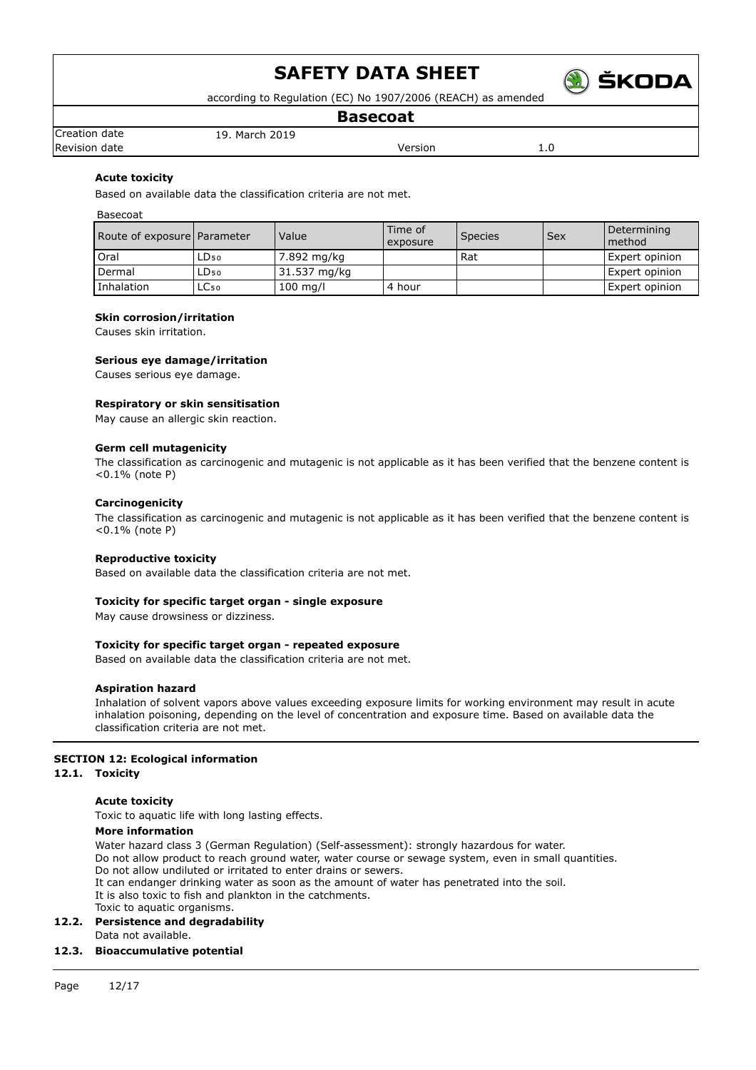

according to Regulation (EC) No 1907/2006 (REACH) as amended

## **Basecoat**

Creation date 19. March 2019 Revision date and the version of the Version of the Version of the Version of the Version of the Version of the Version of the Version of the Version of the Version of the Version of the Version of the Version of the Versi

## **Acute toxicity**

Based on available data the classification criteria are not met.

Basecoat

| Route of exposure Parameter |      | Value        | Time of<br>exposure | Species | Sex | Determining<br>method |
|-----------------------------|------|--------------|---------------------|---------|-----|-----------------------|
| Oral                        | LD50 | 7.892 mg/kg  |                     | Rat     |     | Expert opinion        |
| Dermal                      | LD50 | 31.537 mg/kg |                     |         |     | Expert opinion        |
| Inhalation                  | LC50 | $100$ mg/l   | 4 hour              |         |     | Expert opinion        |

### **Skin corrosion/irritation**

Causes skin irritation.

## **Serious eye damage/irritation**

Causes serious eye damage.

### **Respiratory or skin sensitisation**

May cause an allergic skin reaction.

### **Germ cell mutagenicity**

The classification as carcinogenic and mutagenic is not applicable as it has been verified that the benzene content is <0.1% (note P)

### **Carcinogenicity**

The classification as carcinogenic and mutagenic is not applicable as it has been verified that the benzene content is <0.1% (note P)

### **Reproductive toxicity**

Based on available data the classification criteria are not met.

### **Toxicity for specific target organ - single exposure**

May cause drowsiness or dizziness.

### **Toxicity for specific target organ - repeated exposure**

Based on available data the classification criteria are not met.

### **Aspiration hazard**

Inhalation of solvent vapors above values exceeding exposure limits for working environment may result in acute inhalation poisoning, depending on the level of concentration and exposure time. Based on available data the classification criteria are not met.

## **SECTION 12: Ecological information**

## **12.1. Toxicity**

### **Acute toxicity**

Toxic to aquatic life with long lasting effects.

## **More information**

Water hazard class 3 (German Regulation) (Self-assessment): strongly hazardous for water. Do not allow product to reach ground water, water course or sewage system, even in small quantities. Do not allow undiluted or irritated to enter drains or sewers. It can endanger drinking water as soon as the amount of water has penetrated into the soil. It is also toxic to fish and plankton in the catchments. Toxic to aquatic organisms.

### **12.2. Persistence and degradability**

Data not available.

## **12.3. Bioaccumulative potential**

Page 12/17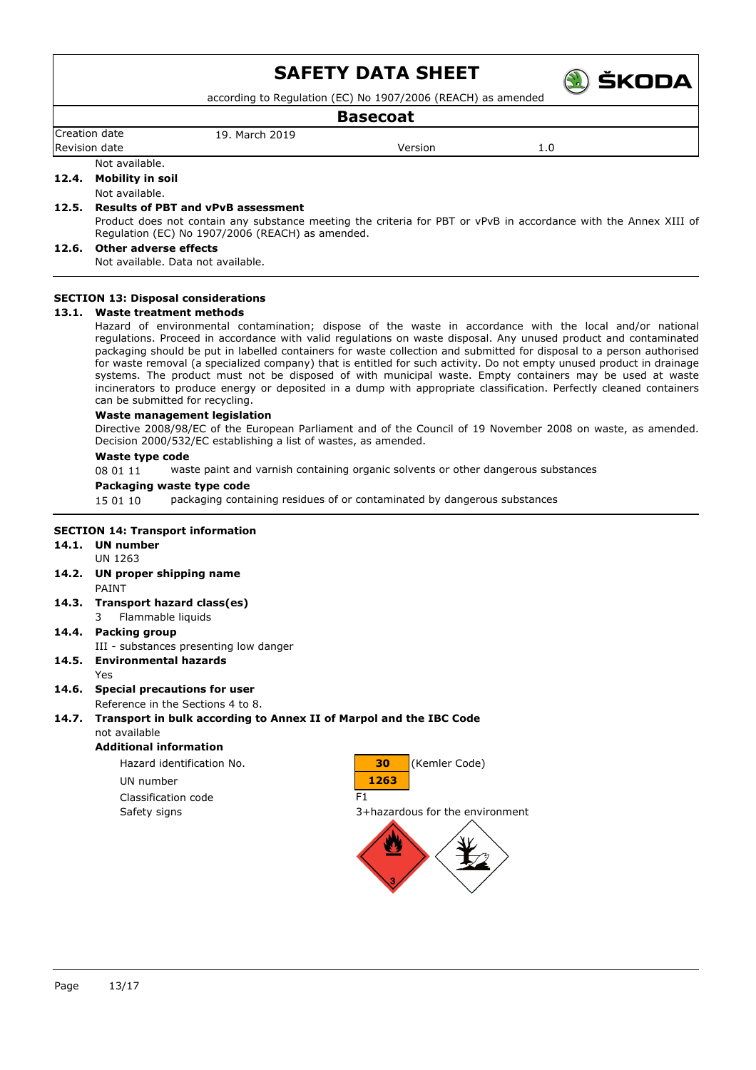

according to Regulation (EC) No 1907/2006 (REACH) as amended

## **Basecoat**

Creation date 19. March 2019

Revision date and the version of the Version of the Version of the Version of the Version of the Version of the Version of the Version of the Version of the Version of the Version of the Version of the Version of the Versi

### Not available.

**12.4. Mobility in soil**

### Not available.

## **12.5. Results of PBT and vPvB assessment**

Product does not contain any substance meeting the criteria for PBT or vPvB in accordance with the Annex XIII of Regulation (EC) No 1907/2006 (REACH) as amended.

## **12.6. Other adverse effects**

Not available. Data not available.

## **SECTION 13: Disposal considerations**

## **13.1. Waste treatment methods**

Hazard of environmental contamination; dispose of the waste in accordance with the local and/or national regulations. Proceed in accordance with valid regulations on waste disposal. Any unused product and contaminated packaging should be put in labelled containers for waste collection and submitted for disposal to a person authorised for waste removal (a specialized company) that is entitled for such activity. Do not empty unused product in drainage systems. The product must not be disposed of with municipal waste. Empty containers may be used at waste incinerators to produce energy or deposited in a dump with appropriate classification. Perfectly cleaned containers can be submitted for recycling.

### **Waste management legislation**

Directive 2008/98/EC of the European Parliament and of the Council of 19 November 2008 on waste, as amended. Decision 2000/532/EC establishing a list of wastes, as amended.

### **Waste type code**

08 01 11 waste paint and varnish containing organic solvents or other dangerous substances

### **Packaging waste type code**

15 01 10 packaging containing residues of or contaminated by dangerous substances

## **SECTION 14: Transport information**

#### **14.1. UN number** UN 1263

- **14.2. UN proper shipping name** PAINT
- **14.3. Transport hazard class(es)**
	- 3 Flammable liquids
- **14.4. Packing group**
- III substances presenting low danger **14.5. Environmental hazards**
	- Yes

## **14.6. Special precautions for user**

Reference in the Sections 4 to 8.

#### **14.7. Transport in bulk according to Annex II of Marpol and the IBC Code** not available

## **Additional information**

Classification code F1



Safety signs 3+hazardous for the environment

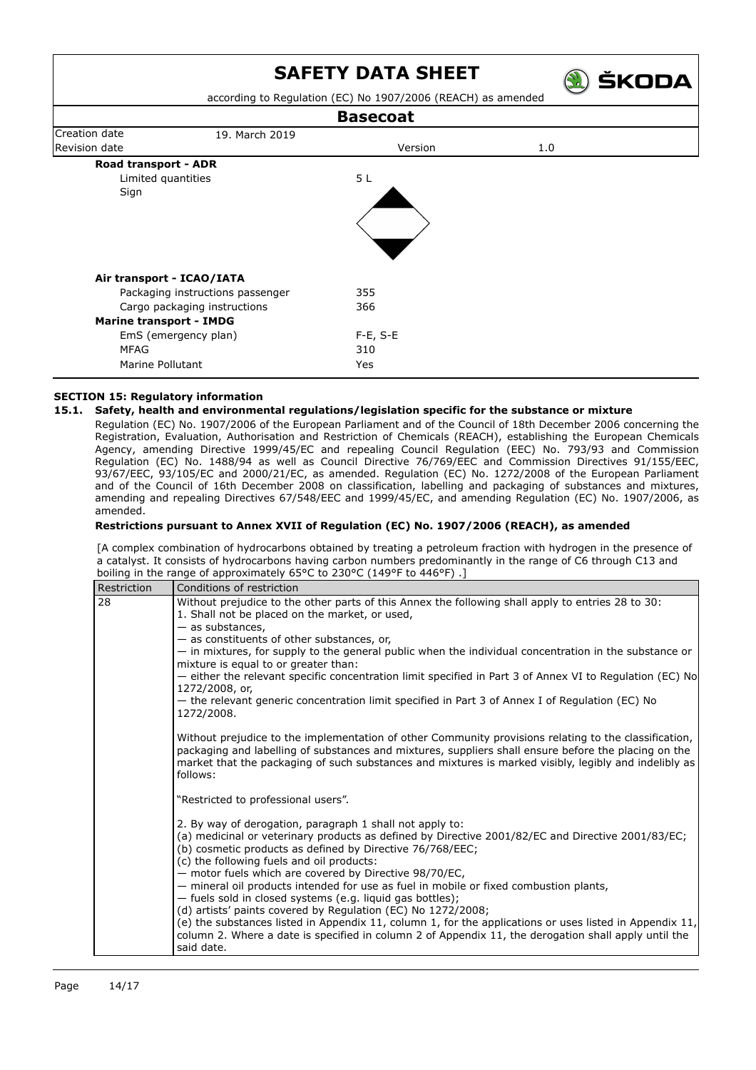) ŠKODA





## **SECTION 15: Regulatory information**

## **15.1. Safety, health and environmental regulations/legislation specific for the substance or mixture**

Regulation (EC) No. 1907/2006 of the European Parliament and of the Council of 18th December 2006 concerning the Registration, Evaluation, Authorisation and Restriction of Chemicals (REACH), establishing the European Chemicals Agency, amending Directive 1999/45/EC and repealing Council Regulation (EEC) No. 793/93 and Commission Regulation (EC) No. 1488/94 as well as Council Directive 76/769/EEC and Commission Directives 91/155/EEC, 93/67/EEC, 93/105/EC and 2000/21/EC, as amended. Regulation (EC) No. 1272/2008 of the European Parliament and of the Council of 16th December 2008 on classification, labelling and packaging of substances and mixtures, amending and repealing Directives 67/548/EEC and 1999/45/EC, and amending Regulation (EC) No. 1907/2006, as amended.

## **Restrictions pursuant to Annex XVII of Regulation (EC) No. 1907/2006 (REACH), as amended**

[A complex combination of hydrocarbons obtained by treating a petroleum fraction with hydrogen in the presence of a catalyst. It consists of hydrocarbons having carbon numbers predominantly in the range of C6 through C13 and boiling in the range of approximately 65°C to 230°C (149°F to 446°F) .]

| Restriction | Conditions of restriction                                                                                                                                                                                                                                                                                                                                                                                                  |
|-------------|----------------------------------------------------------------------------------------------------------------------------------------------------------------------------------------------------------------------------------------------------------------------------------------------------------------------------------------------------------------------------------------------------------------------------|
| 28          | Without prejudice to the other parts of this Annex the following shall apply to entries 28 to 30:<br>1. Shall not be placed on the market, or used,<br>$-$ as substances,                                                                                                                                                                                                                                                  |
|             | - as constituents of other substances, or,                                                                                                                                                                                                                                                                                                                                                                                 |
|             | - in mixtures, for supply to the general public when the individual concentration in the substance or<br>mixture is equal to or greater than:                                                                                                                                                                                                                                                                              |
|             | - either the relevant specific concentration limit specified in Part 3 of Annex VI to Regulation (EC) No<br>1272/2008, or,                                                                                                                                                                                                                                                                                                 |
|             | - the relevant generic concentration limit specified in Part 3 of Annex I of Regulation (EC) No<br>1272/2008.                                                                                                                                                                                                                                                                                                              |
|             | Without prejudice to the implementation of other Community provisions relating to the classification,<br>packaging and labelling of substances and mixtures, suppliers shall ensure before the placing on the<br>market that the packaging of such substances and mixtures is marked visibly, legibly and indelibly as<br>follows:                                                                                         |
|             | "Restricted to professional users".                                                                                                                                                                                                                                                                                                                                                                                        |
|             | 2. By way of derogation, paragraph 1 shall not apply to:<br>(a) medicinal or veterinary products as defined by Directive 2001/82/EC and Directive 2001/83/EC;<br>(b) cosmetic products as defined by Directive 76/768/EEC;<br>(c) the following fuels and oil products:<br>- motor fuels which are covered by Directive 98/70/EC,<br>- mineral oil products intended for use as fuel in mobile or fixed combustion plants, |
|             | - fuels sold in closed systems (e.g. liquid gas bottles);<br>(d) artists' paints covered by Regulation (EC) No 1272/2008;<br>(e) the substances listed in Appendix 11, column 1, for the applications or uses listed in Appendix 11,<br>column 2. Where a date is specified in column 2 of Appendix 11, the derogation shall apply until the<br>said date.                                                                 |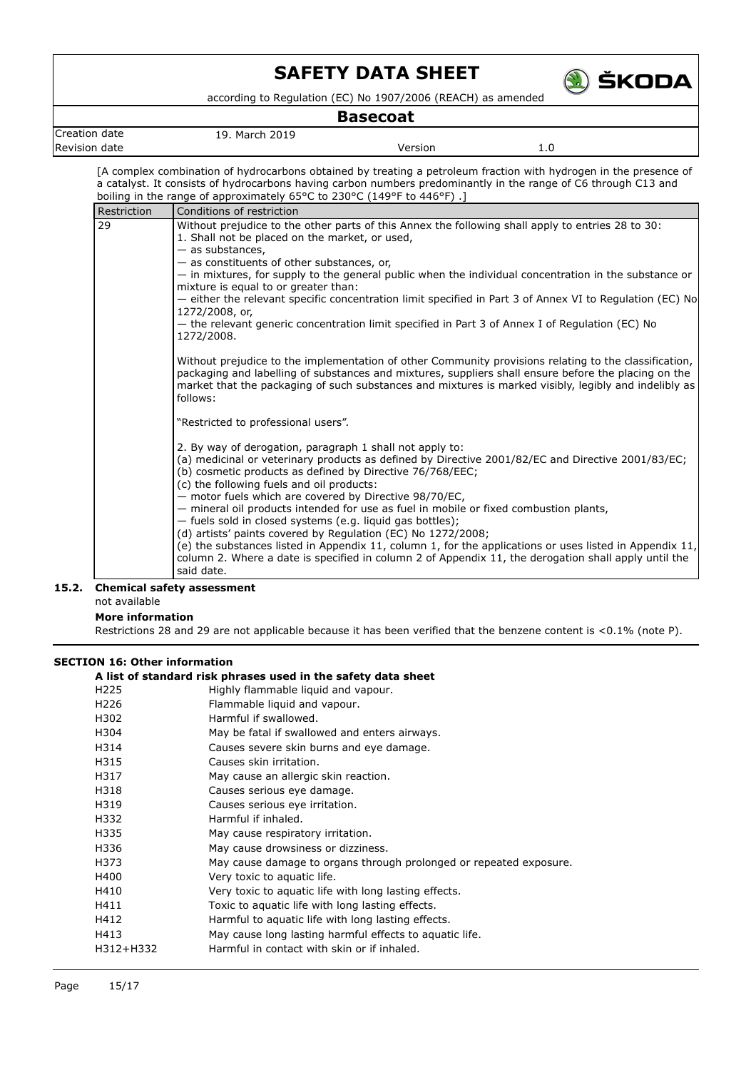

according to Regulation (EC) No 1907/2006 (REACH) as amended

## **Basecoat**

| Creat<br>uor<br>uale<br>. | мa<br>.<br>$\sim$ |         |        |
|---------------------------|-------------------|---------|--------|
| Revision                  |                   | 'ersion | 1.U    |
| date                      |                   | .       | $\sim$ |

[A complex combination of hydrocarbons obtained by treating a petroleum fraction with hydrogen in the presence of a catalyst. It consists of hydrocarbons having carbon numbers predominantly in the range of C6 through C13 and boiling in the range of approximately 65°C to 230°C (149°F to 446°F) .]

| Restriction | Conditions of restriction                                                                                                                                                                                                                                                                                                          |
|-------------|------------------------------------------------------------------------------------------------------------------------------------------------------------------------------------------------------------------------------------------------------------------------------------------------------------------------------------|
| 29          | Without prejudice to the other parts of this Annex the following shall apply to entries 28 to 30:<br>1. Shall not be placed on the market, or used,<br>- as substances,<br>- as constituents of other substances, or,                                                                                                              |
|             | - in mixtures, for supply to the general public when the individual concentration in the substance or<br>mixture is equal to or greater than:                                                                                                                                                                                      |
|             | either the relevant specific concentration limit specified in Part 3 of Annex VI to Regulation (EC) No<br>1272/2008, or,                                                                                                                                                                                                           |
|             | — the relevant generic concentration limit specified in Part 3 of Annex I of Regulation (EC) No<br>1272/2008.                                                                                                                                                                                                                      |
|             | Without prejudice to the implementation of other Community provisions relating to the classification,<br>packaging and labelling of substances and mixtures, suppliers shall ensure before the placing on the<br>market that the packaging of such substances and mixtures is marked visibly, legibly and indelibly as<br>follows: |
|             | "Restricted to professional users".                                                                                                                                                                                                                                                                                                |
|             | 2. By way of derogation, paragraph 1 shall not apply to:<br>(a) medicinal or veterinary products as defined by Directive 2001/82/EC and Directive 2001/83/EC;<br>(b) cosmetic products as defined by Directive 76/768/EEC;<br>(c) the following fuels and oil products:<br>- motor fuels which are covered by Directive 98/70/EC,  |
|             | - mineral oil products intended for use as fuel in mobile or fixed combustion plants,<br>- fuels sold in closed systems (e.g. liquid gas bottles);                                                                                                                                                                                 |
|             | (d) artists' paints covered by Regulation (EC) No 1272/2008;<br>(e) the substances listed in Appendix 11, column 1, for the applications or uses listed in Appendix 11,<br>column 2. Where a date is specified in column 2 of Appendix 11, the derogation shall apply until the<br>said date.                                      |

## **15.2. Chemical safety assessment**

not available

**More information**

Restrictions 28 and 29 are not applicable because it has been verified that the benzene content is <0.1% (note P).

## **SECTION 16: Other information**

## **A list of standard risk phrases used in the safety data sheet**

| H <sub>225</sub> | Highly flammable liquid and vapour.                                |
|------------------|--------------------------------------------------------------------|
| H <sub>226</sub> | Flammable liquid and vapour.                                       |
| H302             | Harmful if swallowed.                                              |
| H304             | May be fatal if swallowed and enters airways.                      |
| H314             | Causes severe skin burns and eye damage.                           |
| H315             | Causes skin irritation.                                            |
| H317             | May cause an allergic skin reaction.                               |
| H318             | Causes serious eye damage.                                         |
| H319             | Causes serious eye irritation.                                     |
| H332             | Harmful if inhaled.                                                |
| H335             | May cause respiratory irritation.                                  |
| H336             | May cause drowsiness or dizziness.                                 |
| H373             | May cause damage to organs through prolonged or repeated exposure. |
| H400             | Very toxic to aquatic life.                                        |
| H410             | Very toxic to aquatic life with long lasting effects.              |
| H411             | Toxic to aquatic life with long lasting effects.                   |
| H412             | Harmful to aquatic life with long lasting effects.                 |
| H413             | May cause long lasting harmful effects to aquatic life.            |
| H312+H332        | Harmful in contact with skin or if inhaled.                        |
|                  |                                                                    |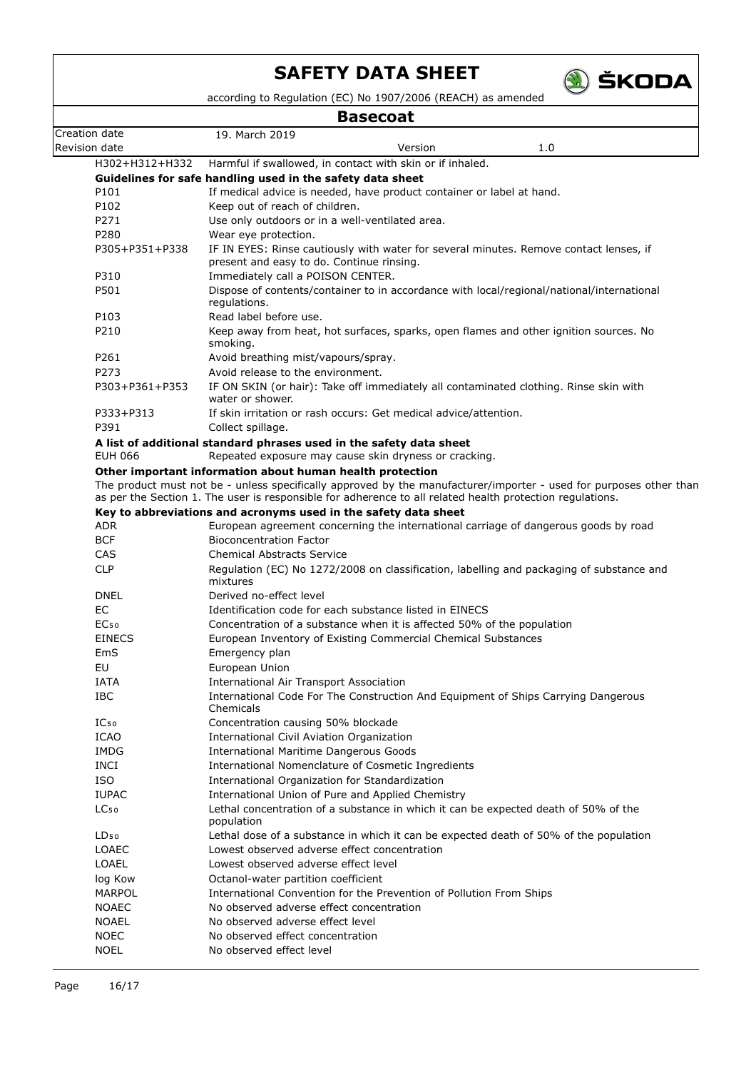

according to Regulation (EC) No 1907/2006 (REACH) as amended

## **Basecoat**

|                          | Dasclual                                                                                                                      |
|--------------------------|-------------------------------------------------------------------------------------------------------------------------------|
| Creation date            | 19. March 2019                                                                                                                |
| Revision date            | 1.0<br>Version                                                                                                                |
| H302+H312+H332           | Harmful if swallowed, in contact with skin or if inhaled.                                                                     |
|                          | Guidelines for safe handling used in the safety data sheet                                                                    |
| P101                     | If medical advice is needed, have product container or label at hand.                                                         |
| P102<br>P271             | Keep out of reach of children.                                                                                                |
| P280                     | Use only outdoors or in a well-ventilated area.                                                                               |
| P305+P351+P338           | Wear eye protection.<br>IF IN EYES: Rinse cautiously with water for several minutes. Remove contact lenses, if                |
|                          | present and easy to do. Continue rinsing.                                                                                     |
| P310                     | Immediately call a POISON CENTER.                                                                                             |
| P501                     | Dispose of contents/container to in accordance with local/regional/national/international                                     |
| P103                     | regulations.<br>Read label before use.                                                                                        |
| P210                     | Keep away from heat, hot surfaces, sparks, open flames and other ignition sources. No                                         |
|                          | smoking.                                                                                                                      |
| P261                     | Avoid breathing mist/vapours/spray.                                                                                           |
| P273                     | Avoid release to the environment.                                                                                             |
| P303+P361+P353           | IF ON SKIN (or hair): Take off immediately all contaminated clothing. Rinse skin with<br>water or shower.                     |
| P333+P313                | If skin irritation or rash occurs: Get medical advice/attention.                                                              |
| P391                     | Collect spillage.                                                                                                             |
|                          | A list of additional standard phrases used in the safety data sheet                                                           |
| <b>EUH 066</b>           | Repeated exposure may cause skin dryness or cracking.                                                                         |
|                          | Other important information about human health protection                                                                     |
|                          | The product must not be - unless specifically approved by the manufacturer/importer - used for purposes other than            |
|                          | as per the Section 1. The user is responsible for adherence to all related health protection regulations.                     |
|                          | Key to abbreviations and acronyms used in the safety data sheet                                                               |
| <b>ADR</b>               | European agreement concerning the international carriage of dangerous goods by road                                           |
| <b>BCF</b>               | <b>Bioconcentration Factor</b>                                                                                                |
| <b>CAS</b><br><b>CLP</b> | <b>Chemical Abstracts Service</b><br>Regulation (EC) No 1272/2008 on classification, labelling and packaging of substance and |
|                          | mixtures                                                                                                                      |
| <b>DNEL</b>              | Derived no-effect level                                                                                                       |
| EC                       | Identification code for each substance listed in EINECS                                                                       |
| EC <sub>50</sub>         | Concentration of a substance when it is affected 50% of the population                                                        |
| <b>EINECS</b>            | European Inventory of Existing Commercial Chemical Substances                                                                 |
| EmS                      | Emergency plan                                                                                                                |
| EU                       | European Union                                                                                                                |
| IATA                     | <b>International Air Transport Association</b>                                                                                |
| IBC                      | International Code For The Construction And Equipment of Ships Carrying Dangerous                                             |
| IC <sub>50</sub>         | Chemicals                                                                                                                     |
| ICAO                     | Concentration causing 50% blockade<br>International Civil Aviation Organization                                               |
| <b>IMDG</b>              | <b>International Maritime Dangerous Goods</b>                                                                                 |
| <b>INCI</b>              | International Nomenclature of Cosmetic Ingredients                                                                            |
| <b>ISO</b>               | International Organization for Standardization                                                                                |
| <b>IUPAC</b>             | International Union of Pure and Applied Chemistry                                                                             |
| LC <sub>50</sub>         | Lethal concentration of a substance in which it can be expected death of 50% of the                                           |
|                          | population                                                                                                                    |
| LD <sub>50</sub>         | Lethal dose of a substance in which it can be expected death of 50% of the population                                         |
| LOAEC                    | Lowest observed adverse effect concentration                                                                                  |
| <b>LOAEL</b>             | Lowest observed adverse effect level                                                                                          |
| log Kow                  | Octanol-water partition coefficient                                                                                           |
| <b>MARPOL</b>            | International Convention for the Prevention of Pollution From Ships                                                           |
| <b>NOAEC</b>             | No observed adverse effect concentration                                                                                      |
| <b>NOAEL</b>             | No observed adverse effect level                                                                                              |
| <b>NOEC</b>              | No observed effect concentration                                                                                              |
| <b>NOEL</b>              | No observed effect level                                                                                                      |
|                          |                                                                                                                               |